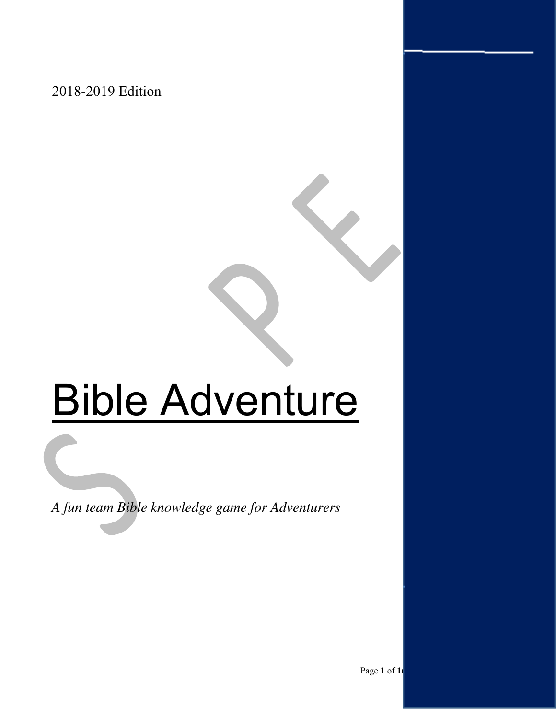#### 2018-2019 Edition

# Bible Adventure

*A fun team Bible knowledge game for Adventurers*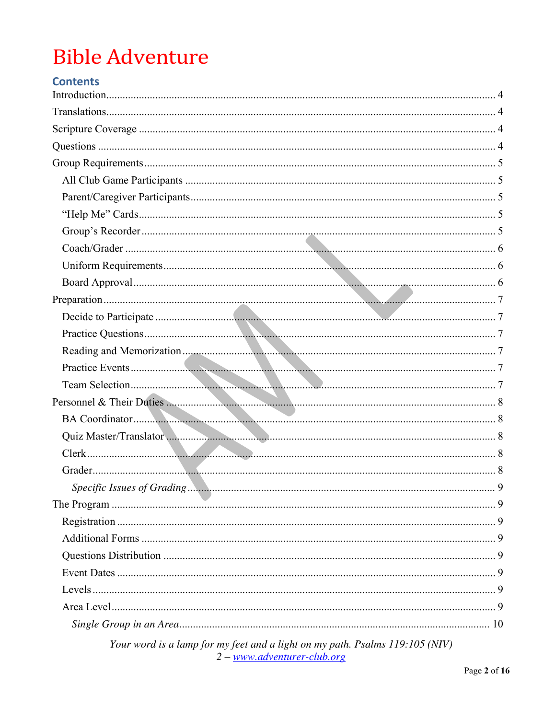# **Bible Adventure**

| <b>Contents</b> |  |
|-----------------|--|
|                 |  |
|                 |  |
|                 |  |
|                 |  |
|                 |  |
|                 |  |
|                 |  |
|                 |  |
|                 |  |
|                 |  |
|                 |  |
|                 |  |
|                 |  |
|                 |  |
|                 |  |
|                 |  |
|                 |  |
|                 |  |
|                 |  |
|                 |  |
|                 |  |
|                 |  |
|                 |  |
|                 |  |
|                 |  |
|                 |  |
|                 |  |
|                 |  |
|                 |  |
|                 |  |
|                 |  |
|                 |  |

Your word is a lamp for my feet and a light on my path. Psalms 119:105 (NIV)<br> $2 - www.addventurer-club.org$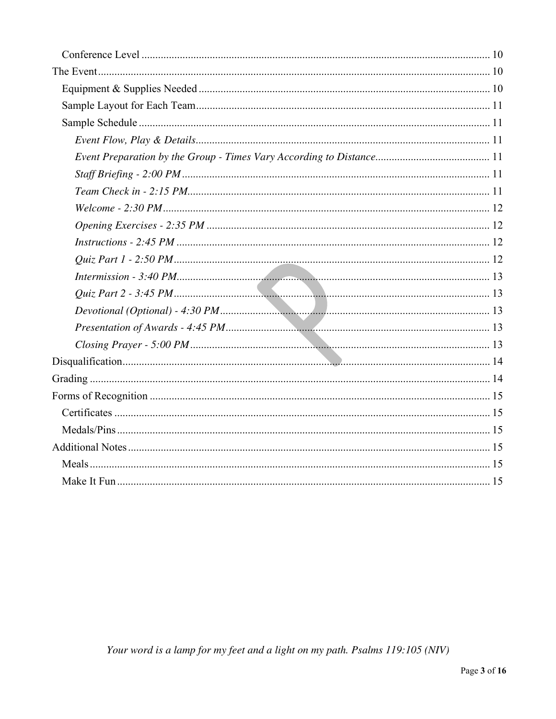Your word is a lamp for my feet and a light on my path. Psalms 119:105 (NIV)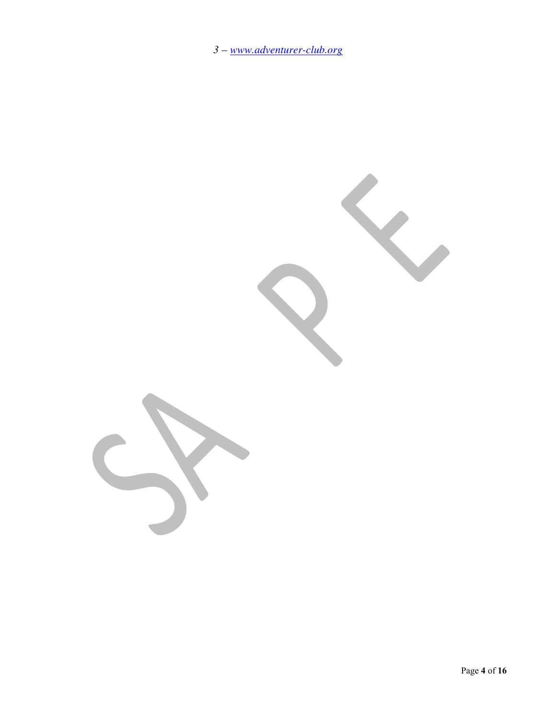*3 – www.adventurer-club.org*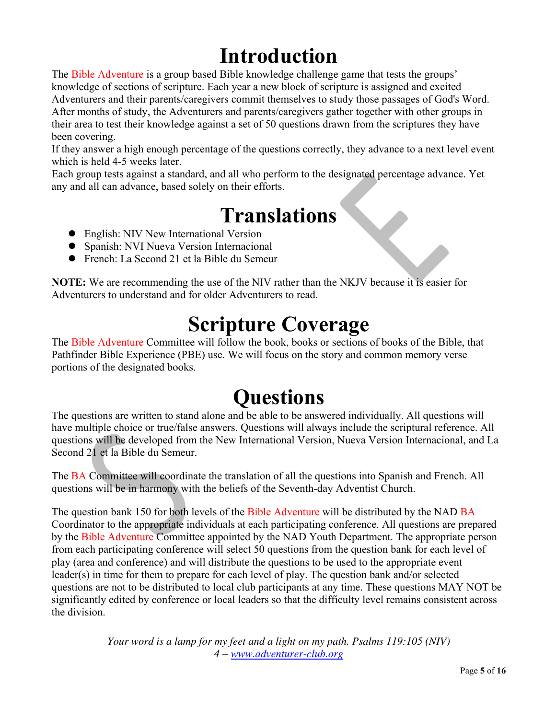# **Introduction**

The Bible Adventure is a group based Bible knowledge challenge game that tests the groups' knowledge of sections of scripture. Each year a new block of scripture is assigned and excited Adventurers and their parents/caregivers commit themselves to study those passages of God's Word. After months of study, the Adventurers and parents/caregivers gather together with other groups in their area to test their knowledge against a set of 50 questions drawn from the scriptures they have been covering.

If they answer a high enough percentage of the questions correctly, they advance to a next level event which is held 4-5 weeks later.

Each group tests against a standard, and all who perform to the designated percentage advance. Yet any and all can advance, based solely on their efforts.

### **Translations**

- English: NIV New International Version
- Spanish: NVI Nueva Version Internacional
- French: La Second 21 et la Bible du Semeur

**NOTE:** We are recommending the use of the NIV rather than the NKJV because it is easier for Adventurers to understand and for older Adventurers to read.

# **Scripture Coverage**

The Bible Adventure Committee will follow the book, books or sections of books of the Bible, that Pathfinder Bible Experience (PBE) use. We will focus on the story and common memory verse portions of the designated books.

### **Questions**

The questions are written to stand alone and be able to be answered individually. All questions will have multiple choice or true/false answers. Questions will always include the scriptural reference. All questions will be developed from the New International Version, Nueva Version Internacional, and La Second 21 et la Bible du Semeur.

The BA Committee will coordinate the translation of all the questions into Spanish and French. All questions will be in harmony with the beliefs of the Seventh-day Adventist Church.

The question bank 150 for both levels of the Bible Adventure will be distributed by the NAD BA Coordinator to the appropriate individuals at each participating conference. All questions are prepared by the Bible Adventure Committee appointed by the NAD Youth Department. The appropriate person from each participating conference will select 50 questions from the question bank for each level of play (area and conference) and will distribute the questions to be used to the appropriate event leader(s) in time for them to prepare for each level of play. The question bank and/or selected questions are not to be distributed to local club participants at any time. These questions MAY NOT be significantly edited by conference or local leaders so that the difficulty level remains consistent across the division.

> *Your word is a lamp for my feet and a light on my path. Psalms 119:105 (NIV) 4 – www.adventurer-club.org*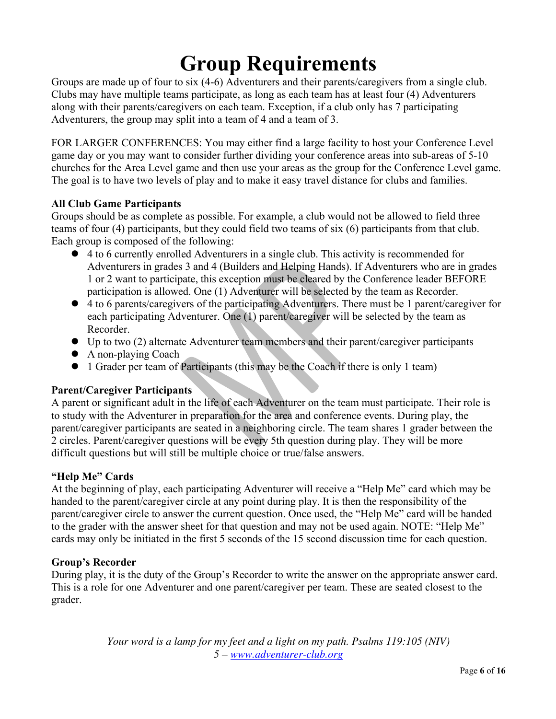# **Group Requirements**

Groups are made up of four to six (4-6) Adventurers and their parents/caregivers from a single club. Clubs may have multiple teams participate, as long as each team has at least four (4) Adventurers along with their parents/caregivers on each team. Exception, if a club only has 7 participating Adventurers, the group may split into a team of 4 and a team of 3.

FOR LARGER CONFERENCES: You may either find a large facility to host your Conference Level game day or you may want to consider further dividing your conference areas into sub-areas of 5-10 churches for the Area Level game and then use your areas as the group for the Conference Level game. The goal is to have two levels of play and to make it easy travel distance for clubs and families.

#### **All Club Game Participants**

Groups should be as complete as possible. For example, a club would not be allowed to field three teams of four (4) participants, but they could field two teams of six (6) participants from that club. Each group is composed of the following:

- 4 to 6 currently enrolled Adventurers in a single club. This activity is recommended for Adventurers in grades 3 and 4 (Builders and Helping Hands). If Adventurers who are in grades 1 or 2 want to participate, this exception must be cleared by the Conference leader BEFORE participation is allowed. One (1) Adventurer will be selected by the team as Recorder.
- 4 to 6 parents/caregivers of the participating Adventurers. There must be 1 parent/caregiver for each participating Adventurer. One (1) parent/caregiver will be selected by the team as Recorder.
- Up to two (2) alternate Adventurer team members and their parent/caregiver participants
- A non-playing Coach
- 1 Grader per team of Participants (this may be the Coach if there is only 1 team)

#### **Parent/Caregiver Participants**

A parent or significant adult in the life of each Adventurer on the team must participate. Their role is to study with the Adventurer in preparation for the area and conference events. During play, the parent/caregiver participants are seated in a neighboring circle. The team shares 1 grader between the 2 circles. Parent/caregiver questions will be every 5th question during play. They will be more difficult questions but will still be multiple choice or true/false answers.

#### **"Help Me" Cards**

At the beginning of play, each participating Adventurer will receive a "Help Me" card which may be handed to the parent/caregiver circle at any point during play. It is then the responsibility of the parent/caregiver circle to answer the current question. Once used, the "Help Me" card will be handed to the grader with the answer sheet for that question and may not be used again. NOTE: "Help Me" cards may only be initiated in the first 5 seconds of the 15 second discussion time for each question.

#### **Group's Recorder**

During play, it is the duty of the Group's Recorder to write the answer on the appropriate answer card. This is a role for one Adventurer and one parent/caregiver per team. These are seated closest to the grader.

> *Your word is a lamp for my feet and a light on my path. Psalms 119:105 (NIV) 5 – www.adventurer-club.org*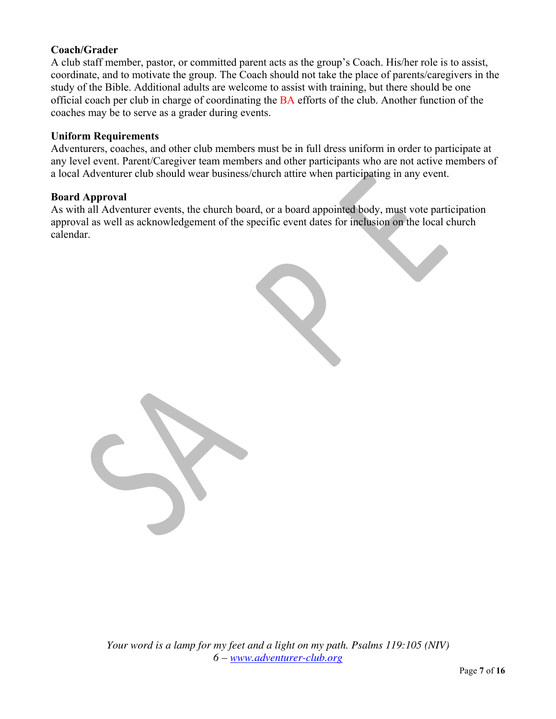#### **Coach/Grader**

A club staff member, pastor, or committed parent acts as the group's Coach. His/her role is to assist, coordinate, and to motivate the group. The Coach should not take the place of parents/caregivers in the study of the Bible. Additional adults are welcome to assist with training, but there should be one official coach per club in charge of coordinating the BA efforts of the club. Another function of the coaches may be to serve as a grader during events.

#### **Uniform Requirements**

Adventurers, coaches, and other club members must be in full dress uniform in order to participate at any level event. Parent/Caregiver team members and other participants who are not active members of a local Adventurer club should wear business/church attire when participating in any event.

#### **Board Approval**

As with all Adventurer events, the church board, or a board appointed body, must vote participation approval as well as acknowledgement of the specific event dates for inclusion on the local church calendar.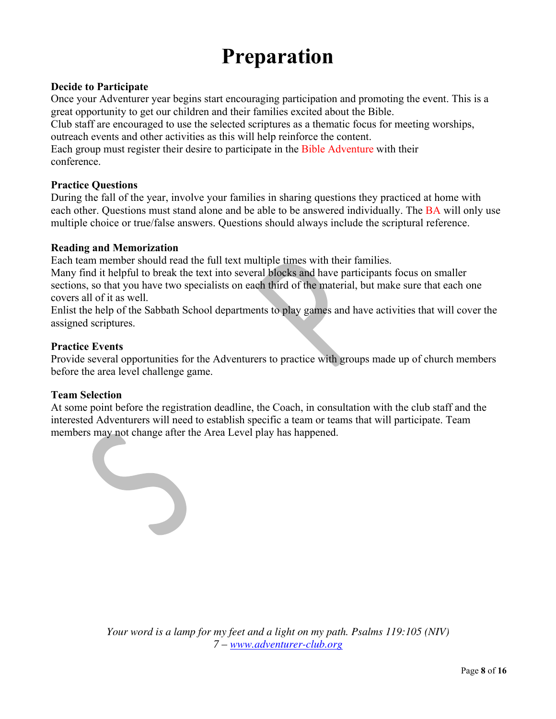# **Preparation**

#### **Decide to Participate**

Once your Adventurer year begins start encouraging participation and promoting the event. This is a great opportunity to get our children and their families excited about the Bible.

Club staff are encouraged to use the selected scriptures as a thematic focus for meeting worships, outreach events and other activities as this will help reinforce the content.

Each group must register their desire to participate in the Bible Adventure with their conference.

#### **Practice Questions**

During the fall of the year, involve your families in sharing questions they practiced at home with each other. Questions must stand alone and be able to be answered individually. The BA will only use multiple choice or true/false answers. Questions should always include the scriptural reference.

#### **Reading and Memorization**

Each team member should read the full text multiple times with their families.

Many find it helpful to break the text into several blocks and have participants focus on smaller sections, so that you have two specialists on each third of the material, but make sure that each one covers all of it as well.

Enlist the help of the Sabbath School departments to play games and have activities that will cover the assigned scriptures.

#### **Practice Events**

Provide several opportunities for the Adventurers to practice with groups made up of church members before the area level challenge game.

#### **Team Selection**

At some point before the registration deadline, the Coach, in consultation with the club staff and the interested Adventurers will need to establish specific a team or teams that will participate. Team members may not change after the Area Level play has happened.

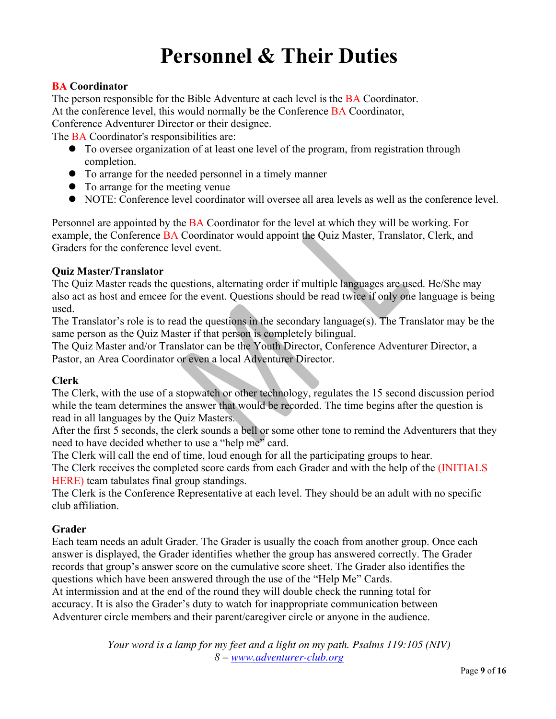# **Personnel & Their Duties**

#### **BA Coordinator**

The person responsible for the Bible Adventure at each level is the **BA** Coordinator. At the conference level, this would normally be the Conference BA Coordinator,

Conference Adventurer Director or their designee.

The **BA** Coordinator's responsibilities are:

- To oversee organization of at least one level of the program, from registration through completion.
- To arrange for the needed personnel in a timely manner
- To arrange for the meeting venue
- NOTE: Conference level coordinator will oversee all area levels as well as the conference level.

Personnel are appointed by the BA Coordinator for the level at which they will be working. For example, the Conference BA Coordinator would appoint the Quiz Master, Translator, Clerk, and Graders for the conference level event.

#### **Quiz Master/Translator**

The Quiz Master reads the questions, alternating order if multiple languages are used. He/She may also act as host and emcee for the event. Questions should be read twice if only one language is being used.

The Translator's role is to read the questions in the secondary language(s). The Translator may be the same person as the Quiz Master if that person is completely bilingual.

The Quiz Master and/or Translator can be the Youth Director, Conference Adventurer Director, a Pastor, an Area Coordinator or even a local Adventurer Director.

#### **Clerk**

The Clerk, with the use of a stopwatch or other technology, regulates the 15 second discussion period while the team determines the answer that would be recorded. The time begins after the question is read in all languages by the Quiz Masters.

After the first 5 seconds, the clerk sounds a bell or some other tone to remind the Adventurers that they need to have decided whether to use a "help me" card.

The Clerk will call the end of time, loud enough for all the participating groups to hear.

The Clerk receives the completed score cards from each Grader and with the help of the (INITIALS HERE) team tabulates final group standings.

The Clerk is the Conference Representative at each level. They should be an adult with no specific club affiliation.

#### **Grader**

Each team needs an adult Grader. The Grader is usually the coach from another group. Once each answer is displayed, the Grader identifies whether the group has answered correctly. The Grader records that group's answer score on the cumulative score sheet. The Grader also identifies the questions which have been answered through the use of the "Help Me" Cards.

At intermission and at the end of the round they will double check the running total for accuracy. It is also the Grader's duty to watch for inappropriate communication between Adventurer circle members and their parent/caregiver circle or anyone in the audience.

> *Your word is a lamp for my feet and a light on my path. Psalms 119:105 (NIV) 8 – www.adventurer-club.org*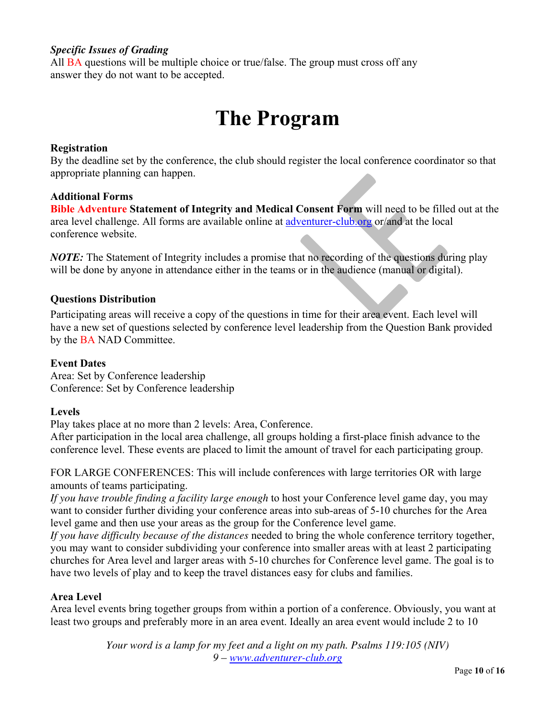#### *Specific Issues of Grading*

All BA questions will be multiple choice or true/false. The group must cross off any answer they do not want to be accepted.

# **The Program**

#### **Registration**

By the deadline set by the conference, the club should register the local conference coordinator so that appropriate planning can happen.

#### **Additional Forms**

**Bible Adventure Statement of Integrity and Medical Consent Form** will need to be filled out at the area level challenge. All forms are available online at adventurer-club.org or/and at the local conference website.

*NOTE*: The Statement of Integrity includes a promise that no recording of the questions during play will be done by anyone in attendance either in the teams or in the audience (manual or digital).

#### **Questions Distribution**

Participating areas will receive a copy of the questions in time for their area event. Each level will have a new set of questions selected by conference level leadership from the Question Bank provided by the BA NAD Committee.

#### **Event Dates**

Area: Set by Conference leadership Conference: Set by Conference leadership

#### **Levels**

Play takes place at no more than 2 levels: Area, Conference.

After participation in the local area challenge, all groups holding a first-place finish advance to the conference level. These events are placed to limit the amount of travel for each participating group.

FOR LARGE CONFERENCES: This will include conferences with large territories OR with large amounts of teams participating.

*If you have trouble finding a facility large enough* to host your Conference level game day, you may want to consider further dividing your conference areas into sub-areas of 5-10 churches for the Area level game and then use your areas as the group for the Conference level game.

*If you have difficulty because of the distances* needed to bring the whole conference territory together, you may want to consider subdividing your conference into smaller areas with at least 2 participating churches for Area level and larger areas with 5-10 churches for Conference level game. The goal is to have two levels of play and to keep the travel distances easy for clubs and families.

#### **Area Level**

Area level events bring together groups from within a portion of a conference. Obviously, you want at least two groups and preferably more in an area event. Ideally an area event would include 2 to 10

> *Your word is a lamp for my feet and a light on my path. Psalms 119:105 (NIV) 9 – www.adventurer-club.org*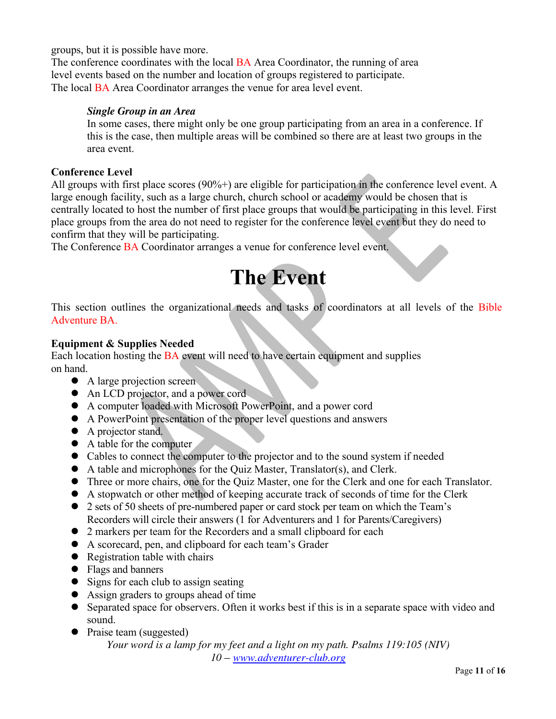groups, but it is possible have more.

The conference coordinates with the local BA Area Coordinator, the running of area level events based on the number and location of groups registered to participate. The local BA Area Coordinator arranges the venue for area level event.

#### *Single Group in an Area*

In some cases, there might only be one group participating from an area in a conference. If this is the case, then multiple areas will be combined so there are at least two groups in the area event.

#### **Conference Level**

All groups with first place scores (90%+) are eligible for participation in the conference level event. A large enough facility, such as a large church, church school or academy would be chosen that is centrally located to host the number of first place groups that would be participating in this level. First place groups from the area do not need to register for the conference level event but they do need to confirm that they will be participating.

The Conference BA Coordinator arranges a venue for conference level event.

### **The Event**

This section outlines the organizational needs and tasks of coordinators at all levels of the Bible Adventure BA.

#### **Equipment & Supplies Needed**

Each location hosting the BA event will need to have certain equipment and supplies on hand.

- A large projection screen
- An LCD projector, and a power cord
- A computer loaded with Microsoft PowerPoint, and a power cord
- A PowerPoint presentation of the proper level questions and answers
- A projector stand.
- A table for the computer
- Cables to connect the computer to the projector and to the sound system if needed
- A table and microphones for the Quiz Master, Translator(s), and Clerk.
- Three or more chairs, one for the Quiz Master, one for the Clerk and one for each Translator.
- A stopwatch or other method of keeping accurate track of seconds of time for the Clerk
- 2 sets of 50 sheets of pre-numbered paper or card stock per team on which the Team's Recorders will circle their answers (1 for Adventurers and 1 for Parents/Caregivers)
- 2 markers per team for the Recorders and a small clipboard for each
- A scorecard, pen, and clipboard for each team's Grader
- Registration table with chairs
- Flags and banners
- $\bullet$  Signs for each club to assign seating
- Assign graders to groups ahead of time
- Separated space for observers. Often it works best if this is in a separate space with video and sound.
- Praise team (suggested)

*Your word is a lamp for my feet and a light on my path. Psalms 119:105 (NIV) 10 – www.adventurer-club.org*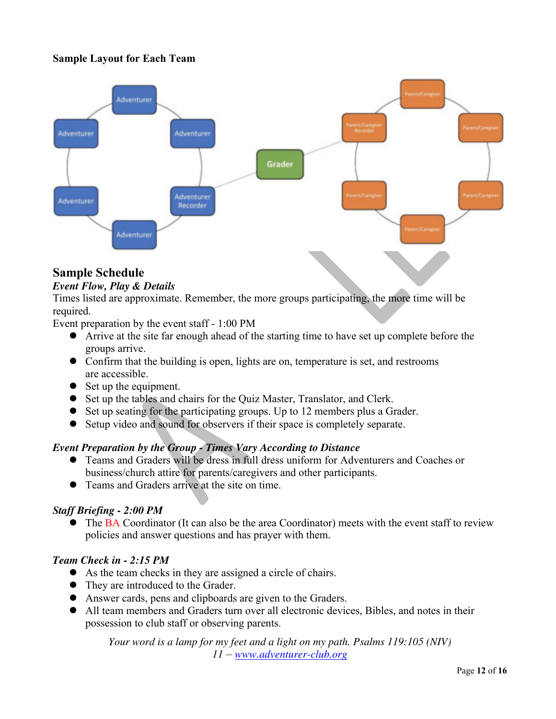#### **Sample Layout for Each Team**



#### **Sample Schedule**

#### *Event Flow, Play & Details*

Times listed are approximate. Remember, the more groups participating, the more time will be required.

Event preparation by the event staff - 1:00 PM

- Arrive at the site far enough ahead of the starting time to have set up complete before the groups arrive.
- Confirm that the building is open, lights are on, temperature is set, and restrooms are accessible.
- Set up the equipment.
- Set up the tables and chairs for the Quiz Master, Translator, and Clerk.
- Set up seating for the participating groups. Up to 12 members plus a Grader.
- Setup video and sound for observers if their space is completely separate.

#### *Event Preparation by the Group - Times Vary According to Distance*

- Teams and Graders will be dress in full dress uniform for Adventurers and Coaches or business/church attire for parents/caregivers and other participants.
- Teams and Graders arrive at the site on time.

#### *Staff Briefing - 2:00 PM*

 The BA Coordinator (It can also be the area Coordinator) meets with the event staff to review policies and answer questions and has prayer with them.

#### *Team Check in - 2:15 PM*

- As the team checks in they are assigned a circle of chairs.
- They are introduced to the Grader.
- Answer cards, pens and clipboards are given to the Graders.
- All team members and Graders turn over all electronic devices, Bibles, and notes in their possession to club staff or observing parents.

*Your word is a lamp for my feet and a light on my path. Psalms 119:105 (NIV) 11* – *www.adventurer-club.org*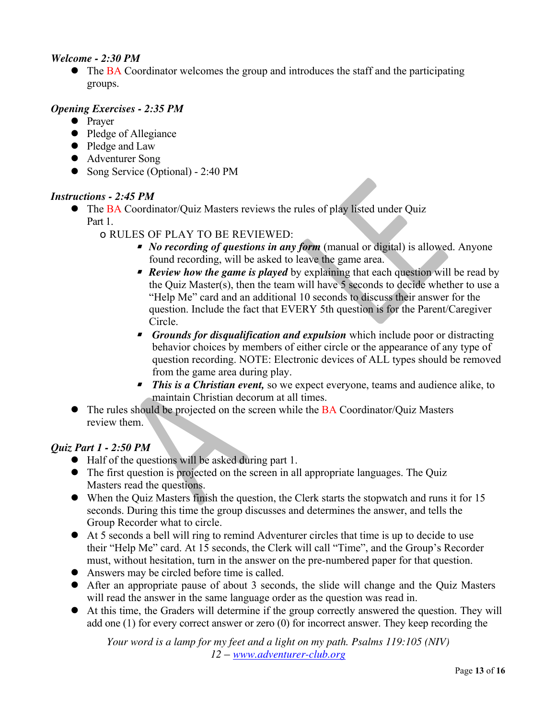#### *Welcome - 2:30 PM*

• The BA Coordinator welcomes the group and introduces the staff and the participating groups.

#### *Opening Exercises - 2:35 PM*

- Prayer
- Pledge of Allegiance
- Pledge and Law
- Adventurer Song
- Song Service (Optional) 2:40 PM

#### *Instructions - 2:45 PM*

- The BA Coordinator/Quiz Masters reviews the rules of play listed under Quiz Part 1
	- o RULES OF PLAY TO BE REVIEWED:
		- **No recording of questions in any form** (manual or digital) is allowed. Anyone found recording, will be asked to leave the game area.
		- **Review how the game is played** by explaining that each question will be read by the Quiz Master(s), then the team will have 5 seconds to decide whether to use a "Help Me" card and an additional 10 seconds to discuss their answer for the question. Include the fact that EVERY 5th question is for the Parent/Caregiver Circle.
		- *Grounds for disqualification and expulsion* which include poor or distracting behavior choices by members of either circle or the appearance of any type of question recording. NOTE: Electronic devices of ALL types should be removed from the game area during play.
		- **This is a Christian event,** so we expect everyone, teams and audience alike, to maintain Christian decorum at all times.
- The rules should be projected on the screen while the BA Coordinator/Quiz Masters review them.

#### *Quiz Part 1 - 2:50 PM*

- Half of the questions will be asked during part 1.
- The first question is projected on the screen in all appropriate languages. The Quiz Masters read the questions.
- When the Quiz Masters finish the question, the Clerk starts the stopwatch and runs it for 15 seconds. During this time the group discusses and determines the answer, and tells the Group Recorder what to circle.
- At 5 seconds a bell will ring to remind Adventurer circles that time is up to decide to use their "Help Me" card. At 15 seconds, the Clerk will call "Time", and the Group's Recorder must, without hesitation, turn in the answer on the pre-numbered paper for that question.
- Answers may be circled before time is called.
- After an appropriate pause of about 3 seconds, the slide will change and the Quiz Masters will read the answer in the same language order as the question was read in.
- At this time, the Graders will determine if the group correctly answered the question. They will add one (1) for every correct answer or zero (0) for incorrect answer. They keep recording the

*Your word is a lamp for my feet and a light on my path. Psalms 119:105 (NIV) 12 – www.adventurer-club.org*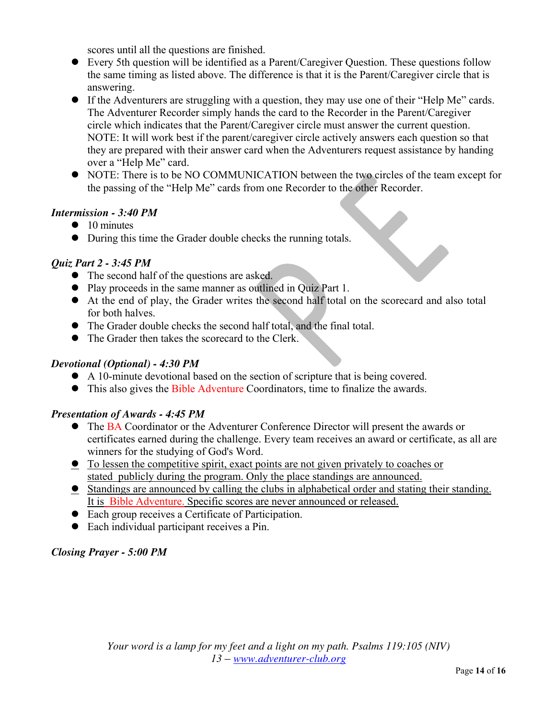scores until all the questions are finished.

- Every 5th question will be identified as a Parent/Caregiver Question. These questions follow the same timing as listed above. The difference is that it is the Parent/Caregiver circle that is answering.
- If the Adventurers are struggling with a question, they may use one of their "Help Me" cards. The Adventurer Recorder simply hands the card to the Recorder in the Parent/Caregiver circle which indicates that the Parent/Caregiver circle must answer the current question. NOTE: It will work best if the parent/caregiver circle actively answers each question so that they are prepared with their answer card when the Adventurers request assistance by handing over a "Help Me" card.
- NOTE: There is to be NO COMMUNICATION between the two circles of the team except for the passing of the "Help Me" cards from one Recorder to the other Recorder.

#### *Intermission - 3:40 PM*

- $\bullet$  10 minutes
- During this time the Grader double checks the running totals.

#### *Quiz Part 2 - 3:45 PM*

- The second half of the questions are asked.
- Play proceeds in the same manner as outlined in Quiz Part 1.
- At the end of play, the Grader writes the second half total on the scorecard and also total for both halves.
- The Grader double checks the second half total, and the final total.
- The Grader then takes the scorecard to the Clerk.

#### *Devotional (Optional) - 4:30 PM*

- A 10-minute devotional based on the section of scripture that is being covered.
- This also gives the Bible Adventure Coordinators, time to finalize the awards.

#### *Presentation of Awards - 4:45 PM*

- The BA Coordinator or the Adventurer Conference Director will present the awards or certificates earned during the challenge. Every team receives an award or certificate, as all are winners for the studying of God's Word.
- To lessen the competitive spirit, exact points are not given privately to coaches or stated publicly during the program. Only the place standings are announced.
- **Standings are announced by calling the clubs in alphabetical order and stating their standing.** It is Bible Adventure. Specific scores are never announced or released.
- Each group receives a Certificate of Participation.
- Each individual participant receives a Pin.

#### *Closing Prayer - 5:00 PM*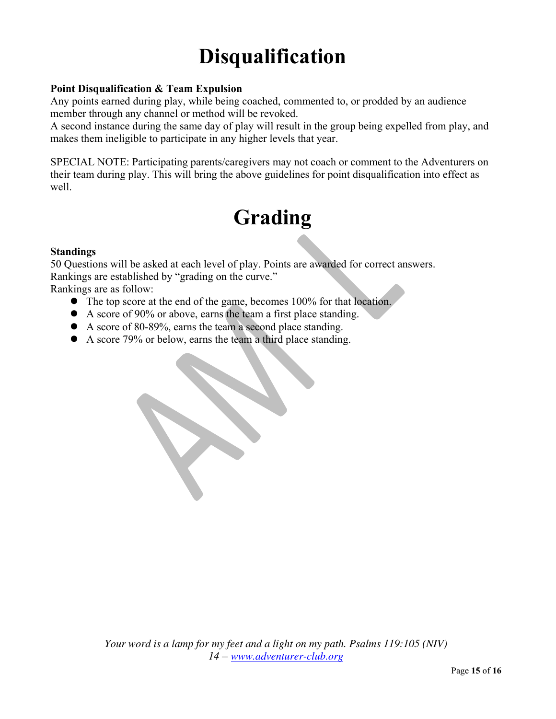# **Disqualification**

#### **Point Disqualification & Team Expulsion**

Any points earned during play, while being coached, commented to, or prodded by an audience member through any channel or method will be revoked.

A second instance during the same day of play will result in the group being expelled from play, and makes them ineligible to participate in any higher levels that year.

SPECIAL NOTE: Participating parents/caregivers may not coach or comment to the Adventurers on their team during play. This will bring the above guidelines for point disqualification into effect as well.

# **Grading**

#### **Standings**

50 Questions will be asked at each level of play. Points are awarded for correct answers. Rankings are established by "grading on the curve."

Rankings are as follow:

- The top score at the end of the game, becomes 100% for that location.
- A score of 90% or above, earns the team a first place standing.
- A score of 80-89%, earns the team a second place standing.

V

A score 79% or below, earns the team a third place standing.